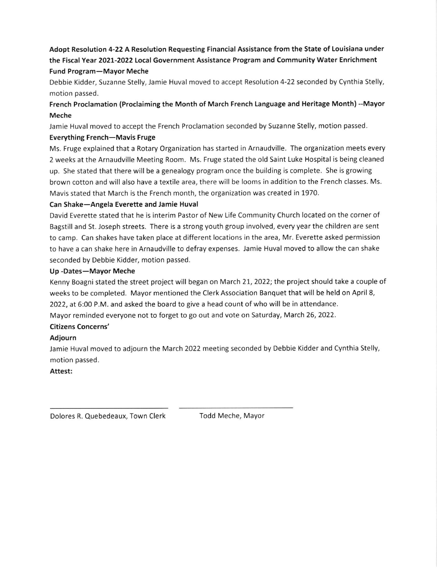# Adopt Resolution 4-22 A Resolution Requesting Financial Assistance from the State of Louisiana under the Fiscal Year 202L-2O22 Local Government Assistance Program and Community Water Enrichment Fund Program-Mayor Meche

Debbie Kidder, Suzanne Stelly, Jamie Huval moved to accept Resolution 4-22 seconded by Cynthia Stelly, motion passed.

# French Proclamation (Proclaiming the Month of March French Language and Heritage Month) --Mayor Meche

Jamie Huval moved to accept the French Proclamation seconded by Suzanne Stelly, motion passed.

### Everything French-Mavis Fruge

Ms. Fruge explained that a Rotary Organization has started in Arnaudville. The organization meets every 2 weeks at the Arnaudville Meeting Room. Ms. Fruge stated the old Saint Luke Hospital is being cleaned up. She stated that there will be a genealogy program once the building is complete. She is growing brown cotton and will also have a textile area, there will be looms in addition to the French classes. Ms. Mavis stated that March is the French month, the organization was created in 1970.

## Can Shake-Angela Everette and Jamie Huval

David Everette stated that he is interim Pastor of New Life Community Church located on the corner of Bagstill and St. Joseph streets. There is a strong youth group involved, every year the children are sent to camp. Can shakes have taken place at different locations in the area, Mr. Everette asked permission to have a can shake here in Arnaudville to defray expenses. Jamie Huval moved to allow the can shake seconded by Debbie Kidder, motion passed.

### Up -Dates-Mayor Meche

Kenny Boagni stated the street project will began on March 21, 2022; the project should take a couple of weeks to be completed. Mayor mentioned the Clerk Association Banquet that will be held on April 8, 2022, at 6:00 P.M. and asked the board to give a head count of who will be in attendance. Mayor reminded everyone not to forget to go out and vote on Saturday, March 26, 2022.

### Citizens Concerns'

### Adiourn

Jamie Huval moved to adjourn the March 2022 meeting seconded by Debbie Kidder and Cynthia Stelly, motion passed.

### Attest:

Dolores R. Quebedeaux, Town Clerk Todd Meche, Mayor